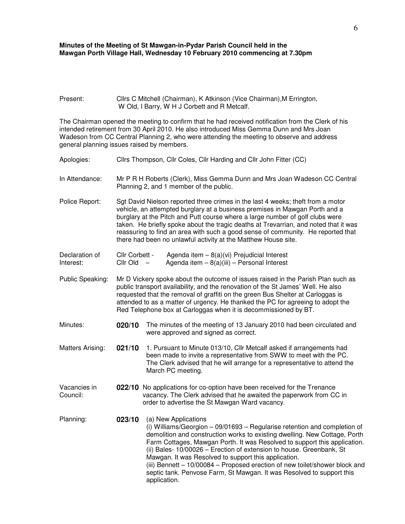## **Minutes of the Meeting of St Mawgan-in-Pydar Parish Council held in the Mawgan Porth Village Hall, Wednesday 10 February 2010 commencing at 7.30pm**

Present: Cllrs C Mitchell (Chairman), K Atkinson (Vice Chairman),M Errington, W Old, I Barry, W H J Corbett and R Metcalf.

The Chairman opened the meeting to confirm that he had received notification from the Clerk of his intended retirement from 30 April 2010. He also introduced Miss Gemma Dunn and Mrs Joan Wadeson from CC Central Planning 2, who were attending the meeting to observe and address general planning issues raised by members.

| Apologies:                  | Cllrs Thompson, Cllr Coles, Cllr Harding and Cllr John Fitter (CC)                                                                                                                                                                                                                                                                                                                                                                                                                            |                                                                                                                                                                                                                                                                                                                                                                                                                                                                                                                                                                      |  |
|-----------------------------|-----------------------------------------------------------------------------------------------------------------------------------------------------------------------------------------------------------------------------------------------------------------------------------------------------------------------------------------------------------------------------------------------------------------------------------------------------------------------------------------------|----------------------------------------------------------------------------------------------------------------------------------------------------------------------------------------------------------------------------------------------------------------------------------------------------------------------------------------------------------------------------------------------------------------------------------------------------------------------------------------------------------------------------------------------------------------------|--|
| In Attendance:              | Mr P R H Roberts (Clerk), Miss Gemma Dunn and Mrs Joan Wadeson CC Central<br>Planning 2, and 1 member of the public.                                                                                                                                                                                                                                                                                                                                                                          |                                                                                                                                                                                                                                                                                                                                                                                                                                                                                                                                                                      |  |
| Police Report:              | Sgt David Nielson reported three crimes in the last 4 weeks; theft from a motor<br>vehicle, an attempted burglary at a business premises in Mawgan Porth and a<br>burglary at the Pitch and Putt course where a large number of golf clubs were<br>taken. He briefly spoke about the tragic deaths at Trevarrian, and noted that it was<br>reassuring to find an area with such a good sense of community. He reported that<br>there had been no unlawful activity at the Matthew House site. |                                                                                                                                                                                                                                                                                                                                                                                                                                                                                                                                                                      |  |
| Declaration of<br>Interest: | Cllr Corbett -<br>Cllr Old<br>$\overline{\phantom{0}}$                                                                                                                                                                                                                                                                                                                                                                                                                                        | Agenda item $-8(a)(vi)$ Prejudicial Interest<br>Agenda item $-8(a)(iii)$ – Personal Interest                                                                                                                                                                                                                                                                                                                                                                                                                                                                         |  |
| Public Speaking:            | Mr D Vickery spoke about the outcome of issues raised in the Parish Plan such as<br>public transport availability, and the renovation of the St James' Well. He also<br>requested that the removal of graffiti on the green Bus Shelter at Carloggas is<br>attended to as a matter of urgency. He thanked the PC for agreeing to adopt the<br>Red Telephone box at Carloggas when it is decommissioned by BT.                                                                                 |                                                                                                                                                                                                                                                                                                                                                                                                                                                                                                                                                                      |  |
| Minutes:                    | 020/10                                                                                                                                                                                                                                                                                                                                                                                                                                                                                        | The minutes of the meeting of 13 January 2010 had been circulated and<br>were approved and signed as correct.                                                                                                                                                                                                                                                                                                                                                                                                                                                        |  |
| <b>Matters Arising:</b>     | 021/10                                                                                                                                                                                                                                                                                                                                                                                                                                                                                        | 1. Pursuant to Minute 013/10, Cllr Metcalf asked if arrangements had<br>been made to invite a representative from SWW to meet with the PC.<br>The Clerk advised that he will arrange for a representative to attend the<br>March PC meeting.                                                                                                                                                                                                                                                                                                                         |  |
| Vacancies in<br>Council:    |                                                                                                                                                                                                                                                                                                                                                                                                                                                                                               | 022/10 No applications for co-option have been received for the Trenance<br>vacancy. The Clerk advised that he awaited the paperwork from CC in<br>order to advertise the St Mawgan Ward vacancy.                                                                                                                                                                                                                                                                                                                                                                    |  |
| Planning:                   | 023/10                                                                                                                                                                                                                                                                                                                                                                                                                                                                                        | (a) New Applications<br>(i) Williams/Georgion - 09/01693 - Regularise retention and completion of<br>demolition and construction works to existing dwelling. New Cottage, Porth<br>Farm Cottages, Mawgan Porth. It was Resolved to support this application.<br>(ii) Bales- 10/00026 - Erection of extension to house. Greenbank, St<br>Mawgan. It was Resolved to support this application.<br>(iii) Bennett - 10/00084 - Proposed erection of new toilet/shower block and<br>septic tank. Penvose Farm, St Mawgan. It was Resolved to support this<br>application. |  |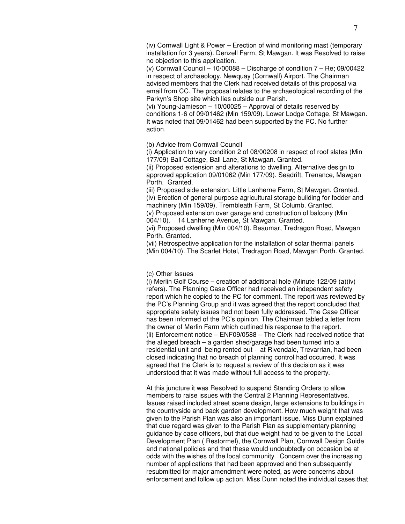(iv) Cornwall Light & Power – Erection of wind monitoring mast (temporary installation for 3 years). Denzell Farm, St Mawgan. It was Resolved to raise no objection to this application.

(v) Cornwall Council – 10/00088 – Discharge of condition 7 – Re; 09/00422 in respect of archaeology. Newquay (Cornwall) Airport. The Chairman advised members that the Clerk had received details of this proposal via email from CC. The proposal relates to the archaeological recording of the Parkyn's Shop site which lies outside our Parish.

(vi) Young-Jamieson – 10/00025 – Approval of details reserved by conditions 1-6 of 09/01462 (Min 159/09). Lower Lodge Cottage, St Mawgan. It was noted that 09/01462 had been supported by the PC. No further action.

## (b) Advice from Cornwall Council

(i) Application to vary condition 2 of 08/00208 in respect of roof slates (Min 177/09) Ball Cottage, Ball Lane, St Mawgan. Granted.

(ii) Proposed extension and alterations to dwelling. Alternative design to approved application 09/01062 (Min 177/09). Seadrift, Trenance, Mawgan Porth. Granted.

(iii) Proposed side extension. Little Lanherne Farm, St Mawgan. Granted. (iv) Erection of general purpose agricultural storage building for fodder and machinery (Min 159/09). Trembleath Farm, St Columb. Granted.

(v) Proposed extension over garage and construction of balcony (Min 004/10). 14 Lanherne Avenue, St Mawgan. Granted.

(vi) Proposed dwelling (Min 004/10). Beaumar, Tredragon Road, Mawgan Porth. Granted.

(vii) Retrospective application for the installation of solar thermal panels (Min 004/10). The Scarlet Hotel, Tredragon Road, Mawgan Porth. Granted.

## (c) Other Issues

(i) Merlin Golf Course – creation of additional hole (Minute 122/09 (a)(iv) refers). The Planning Case Officer had received an independent safety report which he copied to the PC for comment. The report was reviewed by the PC's Planning Group and it was agreed that the report concluded that appropriate safety issues had not been fully addressed. The Case Officer has been informed of the PC's opinion. The Chairman tabled a letter from the owner of Merlin Farm which outlined his response to the report. (ii) Enforcement notice – ENF09/0588 – The Clerk had received notice that the alleged breach – a garden shed/garage had been turned into a residential unit and being rented out - at Rivendale, Trevarrian, had been closed indicating that no breach of planning control had occurred. It was agreed that the Clerk is to request a review of this decision as it was understood that it was made without full access to the property.

At this juncture it was Resolved to suspend Standing Orders to allow members to raise issues with the Central 2 Planning Representatives. Issues raised included street scene design, large extensions to buildings in the countryside and back garden development. How much weight that was given to the Parish Plan was also an important issue. Miss Dunn explained that due regard was given to the Parish Plan as supplementary planning guidance by case officers, but that due weight had to be given to the Local Development Plan ( Restormel), the Cornwall Plan, Cornwall Design Guide and national policies and that these would undoubtedly on occasion be at odds with the wishes of the local community. Concern over the increasing number of applications that had been approved and then subsequently resubmitted for major amendment were noted, as were concerns about enforcement and follow up action. Miss Dunn noted the individual cases that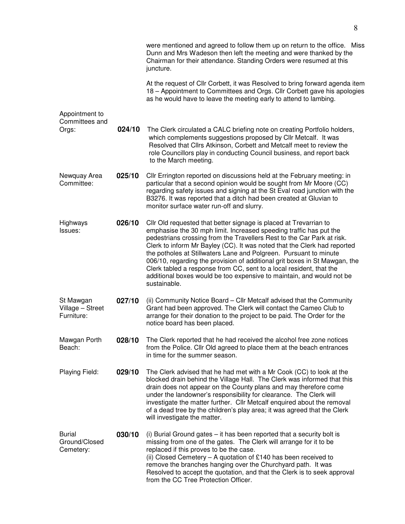|                                             |        | were mentioned and agreed to follow them up on return to the office. Miss<br>Dunn and Mrs Wadeson then left the meeting and were thanked by the<br>Chairman for their attendance. Standing Orders were resumed at this<br>juncture.                                                                                                                                                                                                                                                                                                                                                                              |
|---------------------------------------------|--------|------------------------------------------------------------------------------------------------------------------------------------------------------------------------------------------------------------------------------------------------------------------------------------------------------------------------------------------------------------------------------------------------------------------------------------------------------------------------------------------------------------------------------------------------------------------------------------------------------------------|
|                                             |        | At the request of Cllr Corbett, it was Resolved to bring forward agenda item<br>18 - Appointment to Committees and Orgs. Cllr Corbett gave his apologies<br>as he would have to leave the meeting early to attend to lambing.                                                                                                                                                                                                                                                                                                                                                                                    |
| Appointment to<br>Committees and            |        |                                                                                                                                                                                                                                                                                                                                                                                                                                                                                                                                                                                                                  |
| Orgs:                                       | 024/10 | The Clerk circulated a CALC briefing note on creating Portfolio holders,<br>which complements suggestions proposed by Cllr Metcalf. It was<br>Resolved that Cllrs Atkinson, Corbett and Metcalf meet to review the<br>role Councillors play in conducting Council business, and report back<br>to the March meeting.                                                                                                                                                                                                                                                                                             |
| Newquay Area<br>Committee:                  | 025/10 | Cllr Errington reported on discussions held at the February meeting: in<br>particular that a second opinion would be sought from Mr Moore (CC)<br>regarding safety issues and signing at the St Eval road junction with the<br>B3276. It was reported that a ditch had been created at Gluvian to<br>monitor surface water run-off and slurry.                                                                                                                                                                                                                                                                   |
| Highways<br>Issues:                         | 026/10 | Cllr Old requested that better signage is placed at Trevarrian to<br>emphasise the 30 mph limit. Increased speeding traffic has put the<br>pedestrians crossing from the Travellers Rest to the Car Park at risk.<br>Clerk to inform Mr Bayley (CC). It was noted that the Clerk had reported<br>the potholes at Stillwaters Lane and Polgreen. Pursuant to minute<br>006/10, regarding the provision of additional grit boxes in St Mawgan, the<br>Clerk tabled a response from CC, sent to a local resident, that the<br>additional boxes would be too expensive to maintain, and would not be<br>sustainable. |
| St Mawgan<br>Village - Street<br>Furniture: | 027/10 | (ii) Community Notice Board – Cllr Metcalf advised that the Community<br>Grant had been approved. The Clerk will contact the Cameo Club to<br>arrange for their donation to the project to be paid. The Order for the<br>notice board has been placed.                                                                                                                                                                                                                                                                                                                                                           |
| Mawgan Porth<br>Beach:                      | 028/10 | The Clerk reported that he had received the alcohol free zone notices<br>from the Police. Cllr Old agreed to place them at the beach entrances<br>in time for the summer season.                                                                                                                                                                                                                                                                                                                                                                                                                                 |
| Playing Field:                              | 029/10 | The Clerk advised that he had met with a Mr Cook (CC) to look at the<br>blocked drain behind the Village Hall. The Clerk was informed that this<br>drain does not appear on the County plans and may therefore come<br>under the landowner's responsibility for clearance. The Clerk will<br>investigate the matter further. Cllr Metcalf enquired about the removal<br>of a dead tree by the children's play area; it was agreed that the Clerk<br>will investigate the matter.                                                                                                                                 |
| <b>Burial</b><br>Ground/Closed<br>Cemetery: | 030/10 | (i) Burial Ground gates – it has been reported that a security bolt is<br>missing from one of the gates. The Clerk will arrange for it to be<br>replaced if this proves to be the case.<br>(ii) Closed Cemetery $-$ A quotation of £140 has been received to<br>remove the branches hanging over the Churchyard path. It was<br>Resolved to accept the quotation, and that the Clerk is to seek approval<br>from the CC Tree Protection Officer.                                                                                                                                                                 |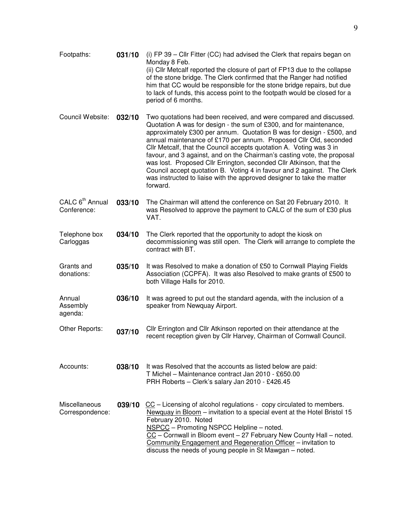| Footpaths:                                 | 031/10 | (i) FP 39 - Cllr Fitter (CC) had advised the Clerk that repairs began on<br>Monday 8 Feb.<br>(ii) Cllr Metcalf reported the closure of part of FP13 due to the collapse<br>of the stone bridge. The Clerk confirmed that the Ranger had notified<br>him that CC would be responsible for the stone bridge repairs, but due<br>to lack of funds, this access point to the footpath would be closed for a<br>period of 6 months.                                                                                                                                                                                                                                                  |
|--------------------------------------------|--------|---------------------------------------------------------------------------------------------------------------------------------------------------------------------------------------------------------------------------------------------------------------------------------------------------------------------------------------------------------------------------------------------------------------------------------------------------------------------------------------------------------------------------------------------------------------------------------------------------------------------------------------------------------------------------------|
| Council Website:                           | 032/10 | Two quotations had been received, and were compared and discussed.<br>Quotation A was for design - the sum of £300, and for maintenance,<br>approximately £300 per annum. Quotation B was for design - £500, and<br>annual maintenance of £170 per annum. Proposed Cllr Old, seconded<br>CIIr Metcalf, that the Council accepts quotation A. Voting was 3 in<br>favour, and 3 against, and on the Chairman's casting vote, the proposal<br>was lost. Proposed Cllr Errington, seconded Cllr Atkinson, that the<br>Council accept quotation B. Voting 4 in favour and 2 against. The Clerk<br>was instructed to liaise with the approved designer to take the matter<br>forward. |
| CALC 6 <sup>th</sup> Annual<br>Conference: | 033/10 | The Chairman will attend the conference on Sat 20 February 2010. It<br>was Resolved to approve the payment to CALC of the sum of £30 plus<br>VAT.                                                                                                                                                                                                                                                                                                                                                                                                                                                                                                                               |
| Telephone box<br>Carloggas                 | 034/10 | The Clerk reported that the opportunity to adopt the kiosk on<br>decommissioning was still open. The Clerk will arrange to complete the<br>contract with BT.                                                                                                                                                                                                                                                                                                                                                                                                                                                                                                                    |
| Grants and<br>donations:                   | 035/10 | It was Resolved to make a donation of £50 to Cornwall Playing Fields<br>Association (CCPFA). It was also Resolved to make grants of £500 to<br>both Village Halls for 2010.                                                                                                                                                                                                                                                                                                                                                                                                                                                                                                     |
| Annual<br>Assembly<br>agenda:              | 036/10 | It was agreed to put out the standard agenda, with the inclusion of a<br>speaker from Newquay Airport.                                                                                                                                                                                                                                                                                                                                                                                                                                                                                                                                                                          |
| Other Reports:                             | 037/10 | Cllr Errington and Cllr Atkinson reported on their attendance at the<br>recent reception given by Cllr Harvey, Chairman of Cornwall Council.                                                                                                                                                                                                                                                                                                                                                                                                                                                                                                                                    |
| Accounts:                                  | 038/10 | It was Resolved that the accounts as listed below are paid:<br>T Michel - Maintenance contract Jan 2010 - £650.00<br>PRH Roberts - Clerk's salary Jan 2010 - £426.45                                                                                                                                                                                                                                                                                                                                                                                                                                                                                                            |
| Miscellaneous<br>Correspondence:           | 039/10 | CC – Licensing of alcohol regulations - copy circulated to members.<br>Newquay in Bloom - invitation to a special event at the Hotel Bristol 15<br>February 2010. Noted<br>NSPCC - Promoting NSPCC Helpline - noted.<br>$CC$ – Cornwall in Bloom event – 27 February New County Hall – noted.<br>Community Engagement and Regeneration Officer - invitation to<br>discuss the needs of young people in St Mawgan - noted.                                                                                                                                                                                                                                                       |